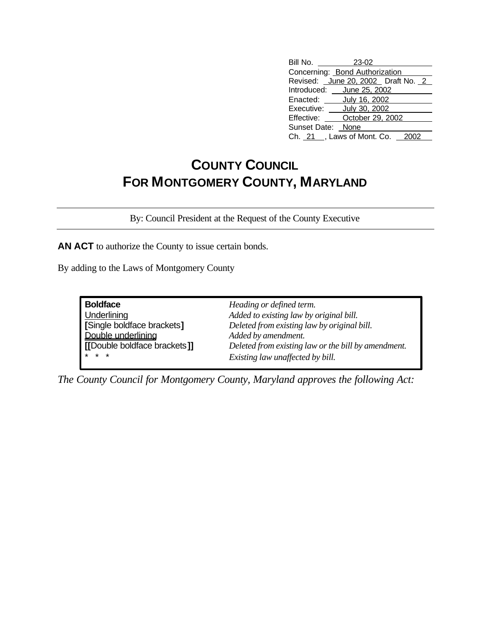## **COUNTY COUNCIL FOR MONTGOMERY COUNTY, MARYLAND**

By: Council President at the Request of the County Executive

**AN ACT** to authorize the County to issue certain bonds.

By adding to the Laws of Montgomery County

| <b>Boldface</b>              | Heading or defined term.                            |  |
|------------------------------|-----------------------------------------------------|--|
| Underlining                  | Added to existing law by original bill.             |  |
| [Single boldface brackets]   | Deleted from existing law by original bill.         |  |
| Double underlining           | Added by amendment.                                 |  |
| [[Double boldface brackets]] | Deleted from existing law or the bill by amendment. |  |
| $* * *$                      | Existing law unaffected by bill.                    |  |

*The County Council for Montgomery County, Maryland approves the following Act:*